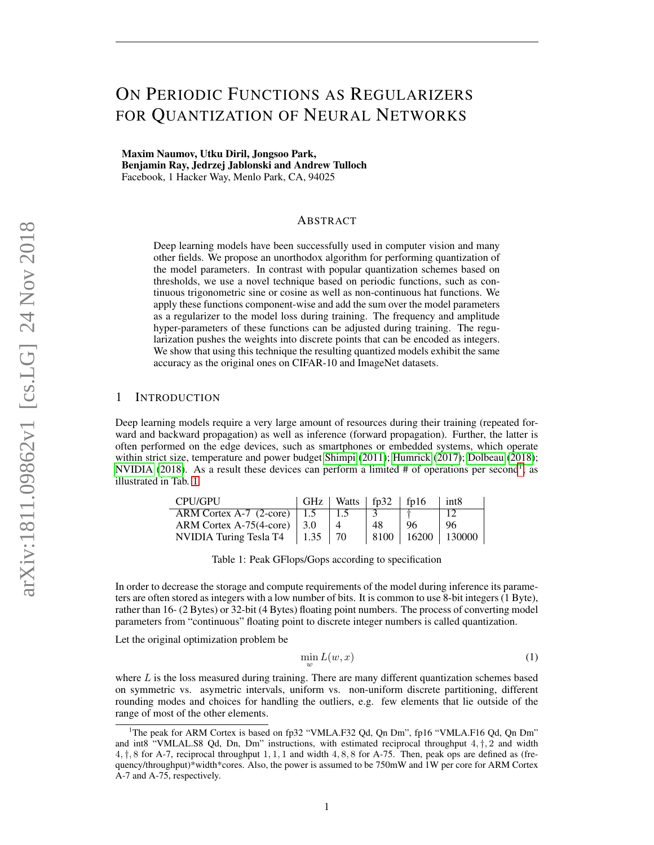# ON PERIODIC FUNCTIONS AS REGULARIZERS FOR QUANTIZATION OF NEURAL NETWORKS

Maxim Naumov, Utku Diril, Jongsoo Park, Benjamin Ray, Jedrzej Jablonski and Andrew Tulloch Facebook, 1 Hacker Way, Menlo Park, CA, 94025

## ABSTRACT

Deep learning models have been successfully used in computer vision and many other fields. We propose an unorthodox algorithm for performing quantization of the model parameters. In contrast with popular quantization schemes based on thresholds, we use a novel technique based on periodic functions, such as continuous trigonometric sine or cosine as well as non-continuous hat functions. We apply these functions component-wise and add the sum over the model parameters as a regularizer to the model loss during training. The frequency and amplitude hyper-parameters of these functions can be adjusted during training. The regularization pushes the weights into discrete points that can be encoded as integers. We show that using this technique the resulting quantized models exhibit the same accuracy as the original ones on CIFAR-10 and ImageNet datasets.

## 1 INTRODUCTION

Deep learning models require a very large amount of resources during their training (repeated forward and backward propagation) as well as inference (forward propagation). Further, the latter is often performed on the edge devices, such as smartphones or embedded systems, which operate within strict size, temperature and power budget [Shimpi](#page-9-0) [\(2011\)](#page-9-0); [Humrick](#page-7-0) [\(2017\)](#page-7-0); [Dolbeau](#page-7-1) [\(2018\)](#page-7-1); [NVIDIA](#page-8-0) [\(2018\)](#page-8-0). As a result these devices can perform a limited  $#$  of operations per second<sup>[1](#page-0-0)</sup>, as illustrated in Tab. [1.](#page-0-1)

<span id="page-0-1"></span>

| CPU/GPU                                |             | GHz   Watts   $fp32$   $fp16$ |    |     | int8                  |
|----------------------------------------|-------------|-------------------------------|----|-----|-----------------------|
| ARM Cortex A-7 $(2\text{-core})$   1.5 |             | 1.5                           |    |     |                       |
| ARM Cortex A-75(4-core) $\vert$ 3.0    |             |                               | 48 | -96 | 96                    |
| NVIDIA Turing Tesla T4                 | $1.35$   70 |                               |    |     | 8100   16200   130000 |

Table 1: Peak GFlops/Gops according to specification

In order to decrease the storage and compute requirements of the model during inference its parameters are often stored as integers with a low number of bits. It is common to use 8-bit integers (1 Byte), rather than 16- (2 Bytes) or 32-bit (4 Bytes) floating point numbers. The process of converting model parameters from "continuous" floating point to discrete integer numbers is called quantization.

Let the original optimization problem be

<span id="page-0-2"></span>
$$
\min_{w} L(w, x) \tag{1}
$$

where  $L$  is the loss measured during training. There are many different quantization schemes based on symmetric vs. asymetric intervals, uniform vs. non-uniform discrete partitioning, different rounding modes and choices for handling the outliers, e.g. few elements that lie outside of the range of most of the other elements.

<span id="page-0-0"></span><sup>&</sup>lt;sup>1</sup>The peak for ARM Cortex is based on fp32 "VMLA.F32 Qd, Qn Dm", fp16 "VMLA.F16 Qd, Qn Dm" and int8 "VMLAL.S8 Qd, Dn, Dm" instructions, with estimated reciprocal throughput  $4, \dagger, 2$  and width  $4, \ddagger, 8$  for A-7, reciprocal throughput 1, 1, 1 and width  $4, 8, 8$  for A-75. Then, peak ops are defined as (frequency/throughput)\*width\*cores. Also, the power is assumed to be 750mW and 1W per core for ARM Cortex A-7 and A-75, respectively.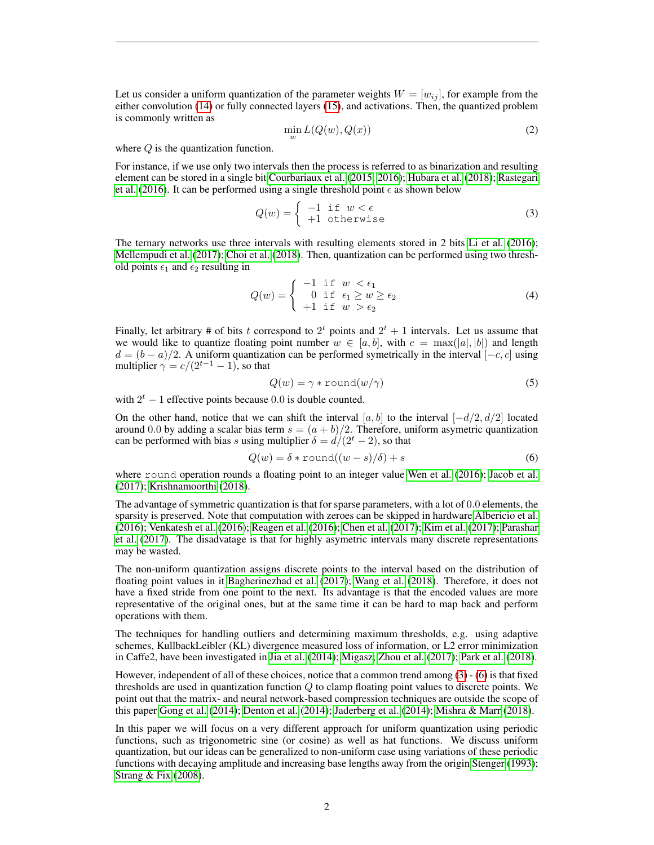Let us consider a uniform quantization of the parameter weights  $W = [w_{ij}]$ , for example from the either convolution [\(14\)](#page-10-0) or fully connected layers [\(15\)](#page-10-1), and activations. Then, the quantized problem is commonly written as

$$
\min_{w} L(Q(w), Q(x))
$$
\n(2)

where Q is the quantization function.

For instance, if we use only two intervals then the process is referred to as binarization and resulting element can be stored in a single bit [Courbariaux et al.](#page-7-2) [\(2015;](#page-7-2) [2016\)](#page-7-3); [Hubara et al.](#page-7-4) [\(2018\)](#page-7-4); [Rastegari](#page-8-1) [et al.](#page-8-1) [\(2016\)](#page-8-1). It can be performed using a single threshold point  $\epsilon$  as shown below

<span id="page-1-0"></span>
$$
Q(w) = \begin{cases} -1 & \text{if } w < \epsilon \\ +1 & \text{otherwise} \end{cases}
$$
 (3)

The ternary networks use three intervals with resulting elements stored in 2 bits [Li et al.](#page-8-2) [\(2016\)](#page-8-2); [Mellempudi et al.](#page-8-3) [\(2017\)](#page-8-3); [Choi et al.](#page-7-5) [\(2018\)](#page-7-5). Then, quantization can be performed using two threshold points  $\epsilon_1$  and  $\epsilon_2$  resulting in

$$
Q(w) = \begin{cases} -1 & \text{if } w < \epsilon_1 \\ 0 & \text{if } \epsilon_1 \ge w \ge \epsilon_2 \\ +1 & \text{if } w > \epsilon_2 \end{cases}
$$
 (4)

Finally, let arbitrary # of bits t correspond to  $2^t$  points and  $2^t + 1$  intervals. Let us assume that we would like to quantize floating point number  $w \in [a, b]$ , with  $c = \max(|a|, |b|)$  and length  $d = (b - a)/2$ . A uniform quantization can be performed symetrically in the interval  $[-c, c]$  using multiplier  $\gamma = c/(2^{t-1}-1)$ , so that

<span id="page-1-2"></span>
$$
Q(w) = \gamma * \text{round}(w/\gamma) \tag{5}
$$

with  $2^t - 1$  effective points because 0.0 is double counted.

On the other hand, notice that we can shift the interval [a, b] to the interval  $[-d/2, d/2]$  located around 0.0 by adding a scalar bias term  $s = (a + b)/2$ . Therefore, uniform asymetric quantization can be performed with bias s using multiplier  $\delta = d/(2^t - 2)$ , so that

<span id="page-1-1"></span>
$$
Q(w) = \delta * \text{round}((w - s)/\delta) + s \tag{6}
$$

where round operation rounds a floating point to an integer value [Wen et al.](#page-9-1) [\(2016\)](#page-9-1); [Jacob et al.](#page-7-6) [\(2017\)](#page-7-6); [Krishnamoorthi](#page-8-4) [\(2018\)](#page-8-4).

The advantage of symmetric quantization is that for sparse parameters, with a lot of 0.0 elements, the sparsity is preserved. Note that computation with zeroes can be skipped in hardware [Albericio et al.](#page-7-7) [\(2016\)](#page-7-7); [Venkatesh et al.](#page-9-2) [\(2016\)](#page-9-2); [Reagen et al.](#page-9-3) [\(2016\)](#page-9-3); [Chen et al.](#page-7-8) [\(2017\)](#page-7-8); [Kim et al.](#page-8-5) [\(2017\)](#page-8-5); [Parashar](#page-8-6) [et al.](#page-8-6) [\(2017\)](#page-8-6). The disadvatage is that for highly asymetric intervals many discrete representations may be wasted.

The non-uniform quantization assigns discrete points to the interval based on the distribution of floating point values in it [Bagherinezhad et al.](#page-7-9) [\(2017\)](#page-7-9); [Wang et al.](#page-9-4) [\(2018\)](#page-9-4). Therefore, it does not have a fixed stride from one point to the next. Its advantage is that the encoded values are more representative of the original ones, but at the same time it can be hard to map back and perform operations with them.

The techniques for handling outliers and determining maximum thresholds, e.g. using adaptive schemes, KullbackLeibler (KL) divergence measured loss of information, or L2 error minimization in Caffe2, have been investigated in [Jia et al.](#page-8-7) [\(2014\)](#page-8-7); [Migasz;](#page-8-8) [Zhou et al.](#page-9-5) [\(2017\)](#page-9-5); [Park et al.](#page-8-9) [\(2018\)](#page-8-9).

However, independent of all of these choices, notice that a common trend among [\(3\)](#page-1-0) - [\(6\)](#page-1-1) is that fixed thresholds are used in quantization function  $Q$  to clamp floating point values to discrete points. We point out that the matrix- and neural network-based compression techniques are outside the scope of this paper [Gong et al.](#page-7-10) [\(2014\)](#page-7-10); [Denton et al.](#page-7-11) [\(2014\)](#page-7-11); [Jaderberg et al.](#page-8-10) [\(2014\)](#page-8-10); [Mishra & Marr](#page-8-11) [\(2018\)](#page-8-11).

In this paper we will focus on a very different approach for uniform quantization using periodic functions, such as trigonometric sine (or cosine) as well as hat functions. We discuss uniform quantization, but our ideas can be generalized to non-uniform case using variations of these periodic functions with decaying amplitude and increasing base lengths away from the origin [Stenger](#page-9-6) [\(1993\)](#page-9-6); [Strang & Fix](#page-9-7) [\(2008\)](#page-9-7).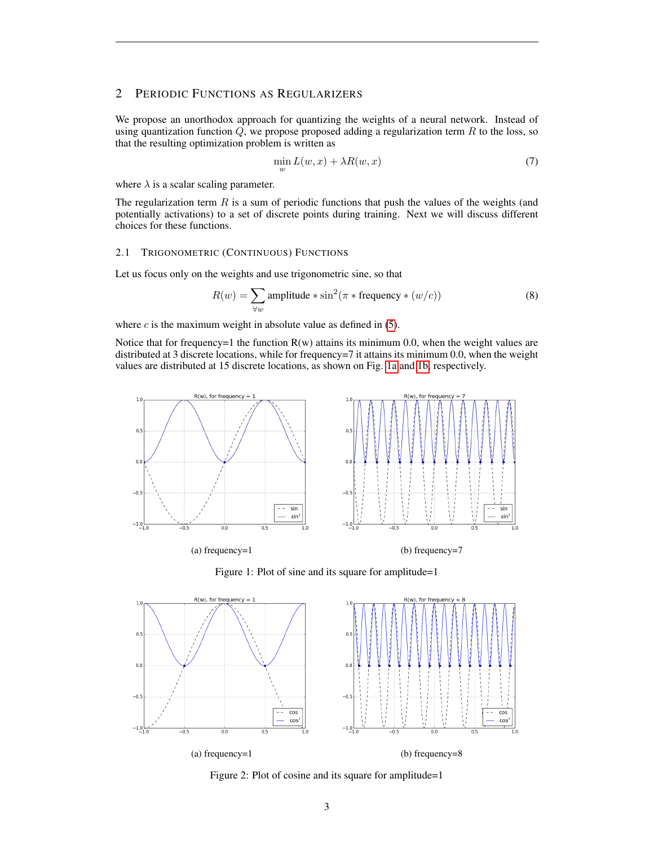# 2 PERIODIC FUNCTIONS AS REGULARIZERS

We propose an unorthodox approach for quantizing the weights of a neural network. Instead of using quantization function  $Q$ , we propose proposed adding a regularization term  $R$  to the loss, so that the resulting optimization problem is written as

<span id="page-2-3"></span>
$$
\min_{w} L(w, x) + \lambda R(w, x) \tag{7}
$$

where  $\lambda$  is a scalar scaling parameter.

The regularization term  $R$  is a sum of periodic functions that push the values of the weights (and potentially activations) to a set of discrete points during training. Next we will discuss different choices for these functions.

#### 2.1 TRIGONOMETRIC (CONTINUOUS) FUNCTIONS

Let us focus only on the weights and use trigonometric sine, so that

<span id="page-2-2"></span>
$$
R(w) = \sum_{\forall w} \text{amplitude} * \sin^2(\pi * \text{frequency} * (w/c))
$$
 (8)

where  $c$  is the maximum weight in absolute value as defined in  $(5)$ .

Notice that for frequency=1 the function  $R(w)$  attains its minimum 0.0, when the weight values are distributed at 3 discrete locations, while for frequency=7 it attains its minimum 0.0, when the weight values are distributed at 15 discrete locations, as shown on Fig. [1a](#page-2-0) and [1b,](#page-2-0) respectively.

<span id="page-2-0"></span>

Figure 1: Plot of sine and its square for amplitude=1

<span id="page-2-1"></span>

Figure 2: Plot of cosine and its square for amplitude=1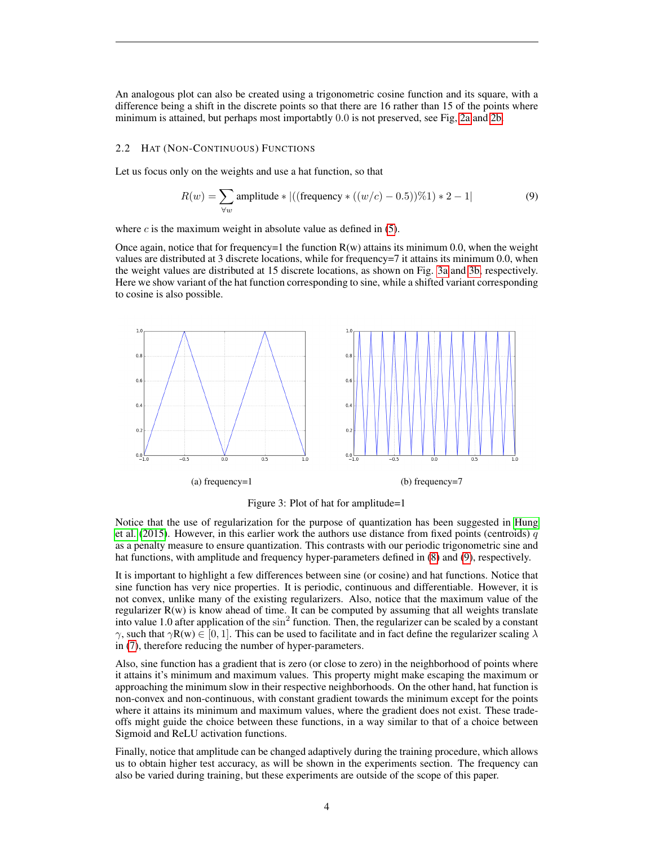An analogous plot can also be created using a trigonometric cosine function and its square, with a difference being a shift in the discrete points so that there are 16 rather than 15 of the points where minimum is attained, but perhaps most importabtly 0.0 is not preserved, see Fig, [2a](#page-2-1) and [2b.](#page-2-1)

#### 2.2 HAT (NON-CONTINUOUS) FUNCTIONS

Let us focus only on the weights and use a hat function, so that

<span id="page-3-1"></span>
$$
R(w) = \sum_{\forall w} \text{amplitude} * |((\text{frequency} * ((w/c) - 0.5))\%1) * 2 - 1|
$$
 (9)

where  $c$  is the maximum weight in absolute value as defined in  $(5)$ .

Once again, notice that for frequency=1 the function  $R(w)$  attains its minimum 0.0, when the weight values are distributed at 3 discrete locations, while for frequency=7 it attains its minimum 0.0, when the weight values are distributed at 15 discrete locations, as shown on Fig. [3a](#page-3-0) and [3b,](#page-3-0) respectively. Here we show variant of the hat function corresponding to sine, while a shifted variant corresponding to cosine is also possible.

<span id="page-3-0"></span>

Figure 3: Plot of hat for amplitude=1

Notice that the use of regularization for the purpose of quantization has been suggested in [Hung](#page-7-12) [et al.](#page-7-12) [\(2015\)](#page-7-12). However, in this earlier work the authors use distance from fixed points (centroids)  $q$ as a penalty measure to ensure quantization. This contrasts with our periodic trigonometric sine and hat functions, with amplitude and frequency hyper-parameters defined in  $(8)$  and  $(9)$ , respectively.

It is important to highlight a few differences between sine (or cosine) and hat functions. Notice that sine function has very nice properties. It is periodic, continuous and differentiable. However, it is not convex, unlike many of the existing regularizers. Also, notice that the maximum value of the regularizer  $R(w)$  is know ahead of time. It can be computed by assuming that all weights translate into value 1.0 after application of the  $\sin^2$  function. Then, the regularizer can be scaled by a constant γ, such that γ $R(w) \in [0, 1]$ . This can be used to facilitate and in fact define the regularizer scaling  $\lambda$ in [\(7\)](#page-2-3), therefore reducing the number of hyper-parameters.

Also, sine function has a gradient that is zero (or close to zero) in the neighborhood of points where it attains it's minimum and maximum values. This property might make escaping the maximum or approaching the minimum slow in their respective neighborhoods. On the other hand, hat function is non-convex and non-continuous, with constant gradient towards the minimum except for the points where it attains its minimum and maximum values, where the gradient does not exist. These tradeoffs might guide the choice between these functions, in a way similar to that of a choice between Sigmoid and ReLU activation functions.

Finally, notice that amplitude can be changed adaptively during the training procedure, which allows us to obtain higher test accuracy, as will be shown in the experiments section. The frequency can also be varied during training, but these experiments are outside of the scope of this paper.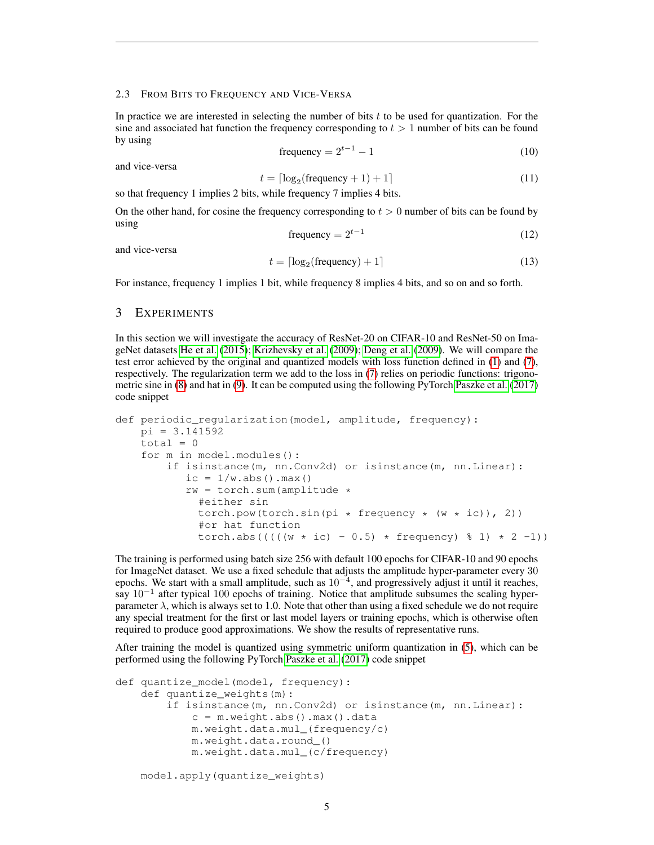#### 2.3 FROM BITS TO FREQUENCY AND VICE-VERSA

In practice we are interested in selecting the number of bits  $t$  to be used for quantization. For the sine and associated hat function the frequency corresponding to  $t > 1$  number of bits can be found by using

$$
frequency = 2t-1 - 1
$$
 (10)

and vice-versa

$$
t = \lceil \log_2(\text{frequency} + 1) + 1 \rceil \tag{11}
$$

so that frequency 1 implies 2 bits, while frequency 7 implies 4 bits.

On the other hand, for cosine the frequency corresponding to  $t > 0$  number of bits can be found by using

$$
frequency = 2^{t-1}
$$
 (12)

and vice-versa

$$
t = \lceil \log_2(\text{frequency}) + 1 \rceil \tag{13}
$$

For instance, frequency 1 implies 1 bit, while frequency 8 implies 4 bits, and so on and so forth.

## 3 EXPERIMENTS

In this section we will investigate the accuracy of ResNet-20 on CIFAR-10 and ResNet-50 on ImageNet datasets [He et al.](#page-7-13) [\(2015\)](#page-7-13); [Krizhevsky et al.](#page-8-12) [\(2009\)](#page-8-12); [Deng et al.](#page-7-14) [\(2009\)](#page-7-14). We will compare the test error achieved by the original and quantized models with loss function defined in [\(1\)](#page-0-2) and [\(7\)](#page-2-3), respectively. The regularization term we add to the loss in [\(7\)](#page-2-3) relies on periodic functions: trigonometric sine in [\(8\)](#page-2-2) and hat in [\(9\)](#page-3-1). It can be computed using the following PyTorch [Paszke et al.](#page-8-13) [\(2017\)](#page-8-13) code snippet

```
def periodic_regularization(model, amplitude, frequency):
   pi = 3.141592
   total = 0for m in model.modules():
        if isinstance(m, nn.Conv2d) or isinstance(m, nn.Linear):
           ic = 1/w.abs() .max()rw = torch.sum(amplitude *#either sin
             torch.pow(torch.sin(pi * frequency * (w * ic), 2))
             #or hat function
             torch.abs(((((w * ic) - 0.5) * frequency) % 1) * 2 -1))
```
The training is performed using batch size 256 with default 100 epochs for CIFAR-10 and 90 epochs for ImageNet dataset. We use a fixed schedule that adjusts the amplitude hyper-parameter every 30 epochs. We start with a small amplitude, such as  $10^{-4}$ , and progressively adjust it until it reaches, say 10<sup>-1</sup> after typical 100 epochs of training. Notice that amplitude subsumes the scaling hyperparameter  $\lambda$ , which is always set to 1.0. Note that other than using a fixed schedule we do not require any special treatment for the first or last model layers or training epochs, which is otherwise often required to produce good approximations. We show the results of representative runs.

After training the model is quantized using symmetric uniform quantization in [\(5\)](#page-1-2), which can be performed using the following PyTorch [Paszke et al.](#page-8-13) [\(2017\)](#page-8-13) code snippet

```
def quantize_model(model, frequency):
    def quantize weights(m):
        if isinstance(m, nn.Conv2d) or isinstance(m, nn.Linear):
            c = m<u>weight.abs().max().data</u>m.weight.data.mul_(frequency/c)
            m.weight.data.round_()
            m.weight.data.mul_(c/frequency)
```

```
model.apply(quantize_weights)
```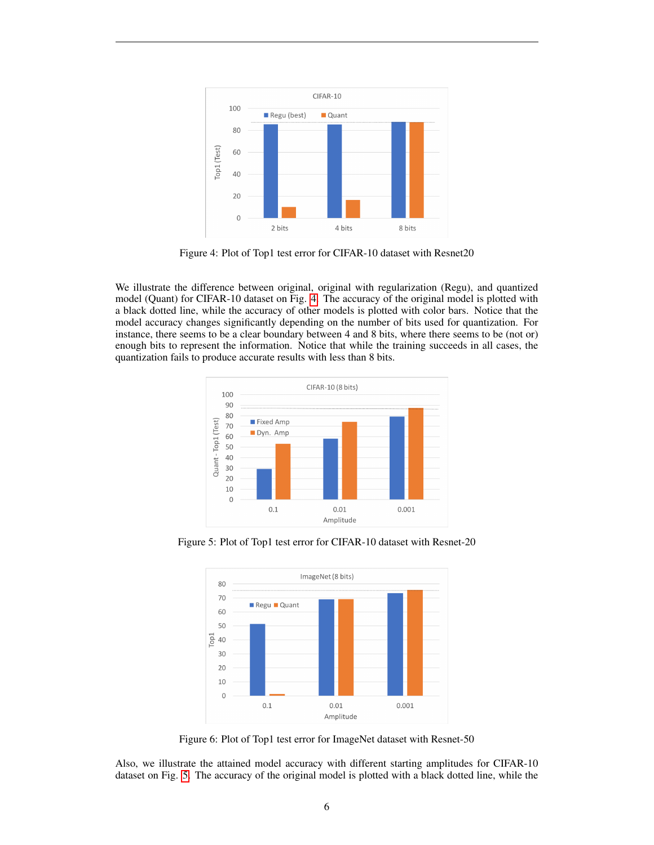<span id="page-5-0"></span>

Figure 4: Plot of Top1 test error for CIFAR-10 dataset with Resnet20

We illustrate the difference between original, original with regularization (Regu), and quantized model (Quant) for CIFAR-10 dataset on Fig. [4.](#page-5-0) The accuracy of the original model is plotted with a black dotted line, while the accuracy of other models is plotted with color bars. Notice that the model accuracy changes significantly depending on the number of bits used for quantization. For instance, there seems to be a clear boundary between 4 and 8 bits, where there seems to be (not or) enough bits to represent the information. Notice that while the training succeeds in all cases, the quantization fails to produce accurate results with less than 8 bits.

<span id="page-5-1"></span>

<span id="page-5-2"></span>Figure 5: Plot of Top1 test error for CIFAR-10 dataset with Resnet-20



Figure 6: Plot of Top1 test error for ImageNet dataset with Resnet-50

Also, we illustrate the attained model accuracy with different starting amplitudes for CIFAR-10 dataset on Fig. [5.](#page-5-1) The accuracy of the original model is plotted with a black dotted line, while the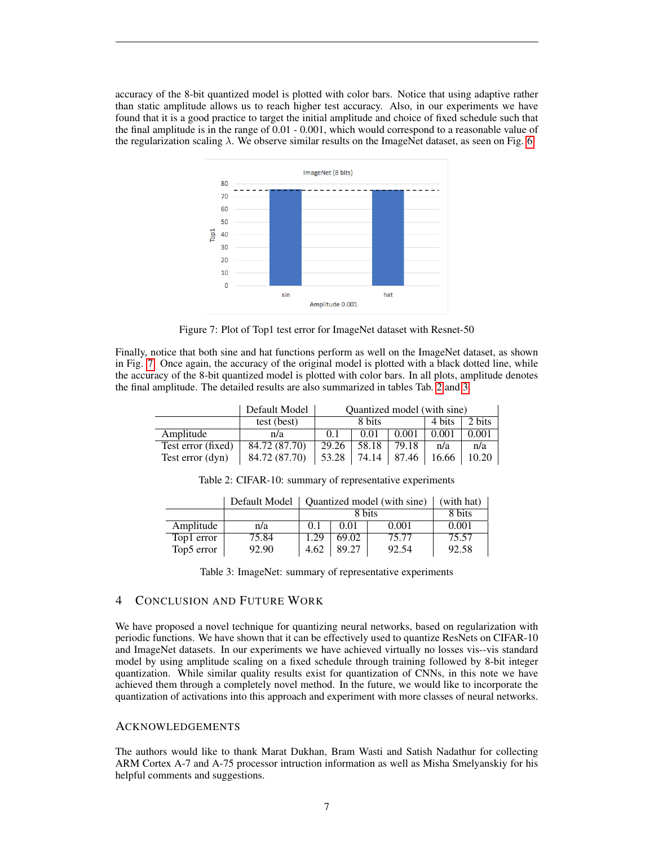<span id="page-6-0"></span>accuracy of the 8-bit quantized model is plotted with color bars. Notice that using adaptive rather than static amplitude allows us to reach higher test accuracy. Also, in our experiments we have found that it is a good practice to target the initial amplitude and choice of fixed schedule such that the final amplitude is in the range of 0.01 - 0.001, which would correspond to a reasonable value of the regularization scaling  $\lambda$ . We observe similar results on the ImageNet dataset, as seen on Fig. [6.](#page-5-2)



Figure 7: Plot of Top1 test error for ImageNet dataset with Resnet-50

Finally, notice that both sine and hat functions perform as well on the ImageNet dataset, as shown in Fig. [7.](#page-6-0) Once again, the accuracy of the original model is plotted with a black dotted line, while the accuracy of the 8-bit quantized model is plotted with color bars. In all plots, amplitude denotes the final amplitude. The detailed results are also summarized in tables Tab. [2](#page-6-1) and [3.](#page-6-2)

<span id="page-6-1"></span>

|                      | Default Model | Quantized model (with sine) |       |       |        |        |
|----------------------|---------------|-----------------------------|-------|-------|--------|--------|
|                      | test (best)   | 8 bits                      |       |       | 4 bits | 2 bits |
| Amplitude            | n/a           | 0.1                         | 0.01  | 0.001 | 0.001  | 0.001  |
| Test error $(fixed)$ | 84.72 (87.70) | 29.26                       | 58.18 | 79.18 | n/a    | n/a    |
| Test error (dyn)     | 84.72 (87.70) | 53.28                       | 74.14 | 87.46 | 16.66  |        |

Table 2: CIFAR-10: summary of representative experiments

<span id="page-6-2"></span>

|            | Default Model | Quantized model (with sine) | (with hat) |       |        |
|------------|---------------|-----------------------------|------------|-------|--------|
|            |               | 8 bits                      |            |       | 8 bits |
| Amplitude  | n/a           | 0.1                         | 0.01       | 0.001 | 0.001  |
| Top1 error | 75.84         | 1.29                        | 69.02      | 75.77 | 75.57  |
| Top5 error | 92.90         | 4.62                        | 89.27      | 92.54 | 92.58  |

Table 3: ImageNet: summary of representative experiments

# 4 CONCLUSION AND FUTURE WORK

We have proposed a novel technique for quantizing neural networks, based on regularization with periodic functions. We have shown that it can be effectively used to quantize ResNets on CIFAR-10 and ImageNet datasets. In our experiments we have achieved virtually no losses vis--vis standard model by using amplitude scaling on a fixed schedule through training followed by 8-bit integer quantization. While similar quality results exist for quantization of CNNs, in this note we have achieved them through a completely novel method. In the future, we would like to incorporate the quantization of activations into this approach and experiment with more classes of neural networks.

## ACKNOWLEDGEMENTS

The authors would like to thank Marat Dukhan, Bram Wasti and Satish Nadathur for collecting ARM Cortex A-7 and A-75 processor intruction information as well as Misha Smelyanskiy for his helpful comments and suggestions.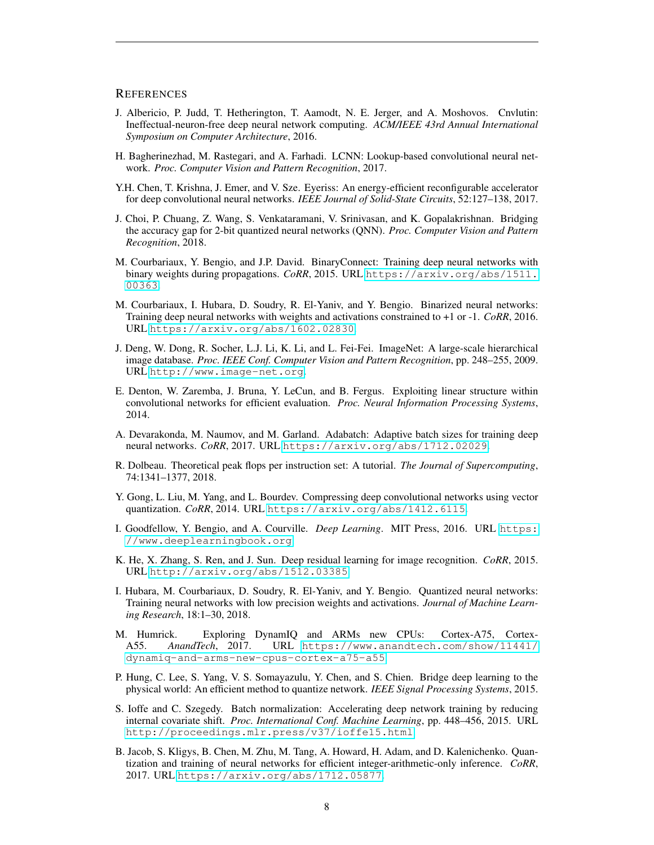## **REFERENCES**

- <span id="page-7-7"></span>J. Albericio, P. Judd, T. Hetherington, T. Aamodt, N. E. Jerger, and A. Moshovos. Cnvlutin: Ineffectual-neuron-free deep neural network computing. *ACM/IEEE 43rd Annual International Symposium on Computer Architecture*, 2016.
- <span id="page-7-9"></span>H. Bagherinezhad, M. Rastegari, and A. Farhadi. LCNN: Lookup-based convolutional neural network. *Proc. Computer Vision and Pattern Recognition*, 2017.
- <span id="page-7-8"></span>Y.H. Chen, T. Krishna, J. Emer, and V. Sze. Eyeriss: An energy-efficient reconfigurable accelerator for deep convolutional neural networks. *IEEE Journal of Solid-State Circuits*, 52:127–138, 2017.
- <span id="page-7-5"></span>J. Choi, P. Chuang, Z. Wang, S. Venkataramani, V. Srinivasan, and K. Gopalakrishnan. Bridging the accuracy gap for 2-bit quantized neural networks (QNN). *Proc. Computer Vision and Pattern Recognition*, 2018.
- <span id="page-7-2"></span>M. Courbariaux, Y. Bengio, and J.P. David. BinaryConnect: Training deep neural networks with binary weights during propagations. *CoRR*, 2015. URL [https://arxiv.org/abs/1511.](https://arxiv.org/abs/1511.00363) [00363](https://arxiv.org/abs/1511.00363).
- <span id="page-7-3"></span>M. Courbariaux, I. Hubara, D. Soudry, R. El-Yaniv, and Y. Bengio. Binarized neural networks: Training deep neural networks with weights and activations constrained to +1 or -1. *CoRR*, 2016. URL <https://arxiv.org/abs/1602.02830>.
- <span id="page-7-14"></span>J. Deng, W. Dong, R. Socher, L.J. Li, K. Li, and L. Fei-Fei. ImageNet: A large-scale hierarchical image database. *Proc. IEEE Conf. Computer Vision and Pattern Recognition*, pp. 248–255, 2009. URL <http://www.image-net.org>.
- <span id="page-7-11"></span>E. Denton, W. Zaremba, J. Bruna, Y. LeCun, and B. Fergus. Exploiting linear structure within convolutional networks for efficient evaluation. *Proc. Neural Information Processing Systems*, 2014.
- <span id="page-7-17"></span>A. Devarakonda, M. Naumov, and M. Garland. Adabatch: Adaptive batch sizes for training deep neural networks. *CoRR*, 2017. URL <https://arxiv.org/abs/1712.02029>.
- <span id="page-7-1"></span>R. Dolbeau. Theoretical peak flops per instruction set: A tutorial. *The Journal of Supercomputing*, 74:1341–1377, 2018.
- <span id="page-7-10"></span>Y. Gong, L. Liu, M. Yang, and L. Bourdev. Compressing deep convolutional networks using vector quantization. *CoRR*, 2014. URL <https://arxiv.org/abs/1412.6115>.
- <span id="page-7-15"></span>I. Goodfellow, Y. Bengio, and A. Courville. *Deep Learning*. MIT Press, 2016. URL [https:](https://www.deeplearningbook.org) [//www.deeplearningbook.org](https://www.deeplearningbook.org).
- <span id="page-7-13"></span>K. He, X. Zhang, S. Ren, and J. Sun. Deep residual learning for image recognition. *CoRR*, 2015. URL <http://arxiv.org/abs/1512.03385>.
- <span id="page-7-4"></span>I. Hubara, M. Courbariaux, D. Soudry, R. El-Yaniv, and Y. Bengio. Quantized neural networks: Training neural networks with low precision weights and activations. *Journal of Machine Learning Research*, 18:1–30, 2018.
- <span id="page-7-0"></span>M. Humrick. Exploring DynamIQ and ARMs new CPUs: Cortex-A75, Cortex-A55. *AnandTech*, 2017. URL [https://www.anandtech.com/show/11441/](https://www.anandtech.com/show/11441/dynamiq-and-arms-new-cpus-cortex-a75-a55) [dynamiq-and-arms-new-cpus-cortex-a75-a55](https://www.anandtech.com/show/11441/dynamiq-and-arms-new-cpus-cortex-a75-a55).
- <span id="page-7-12"></span>P. Hung, C. Lee, S. Yang, V. S. Somayazulu, Y. Chen, and S. Chien. Bridge deep learning to the physical world: An efficient method to quantize network. *IEEE Signal Processing Systems*, 2015.
- <span id="page-7-16"></span>S. Ioffe and C. Szegedy. Batch normalization: Accelerating deep network training by reducing internal covariate shift. *Proc. International Conf. Machine Learning*, pp. 448–456, 2015. URL <http://proceedings.mlr.press/v37/ioffe15.html>.
- <span id="page-7-6"></span>B. Jacob, S. Kligys, B. Chen, M. Zhu, M. Tang, A. Howard, H. Adam, and D. Kalenichenko. Quantization and training of neural networks for efficient integer-arithmetic-only inference. *CoRR*, 2017. URL <https://arxiv.org/abs/1712.05877>.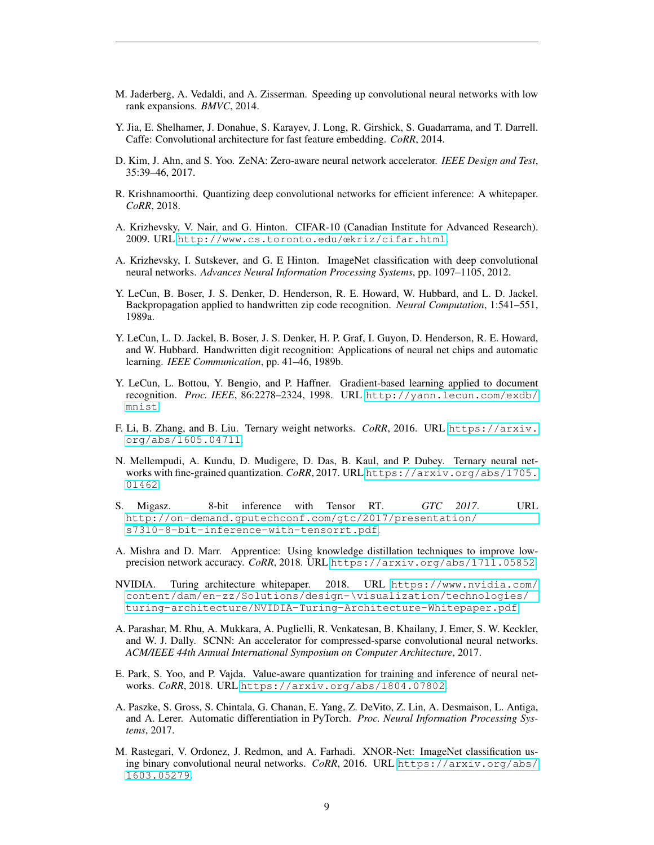- <span id="page-8-10"></span>M. Jaderberg, A. Vedaldi, and A. Zisserman. Speeding up convolutional neural networks with low rank expansions. *BMVC*, 2014.
- <span id="page-8-7"></span>Y. Jia, E. Shelhamer, J. Donahue, S. Karayev, J. Long, R. Girshick, S. Guadarrama, and T. Darrell. Caffe: Convolutional architecture for fast feature embedding. *CoRR*, 2014.
- <span id="page-8-5"></span>D. Kim, J. Ahn, and S. Yoo. ZeNA: Zero-aware neural network accelerator. *IEEE Design and Test*, 35:39–46, 2017.
- <span id="page-8-4"></span>R. Krishnamoorthi. Quantizing deep convolutional networks for efficient inference: A whitepaper. *CoRR*, 2018.
- <span id="page-8-12"></span>A. Krizhevsky, V. Nair, and G. Hinton. CIFAR-10 (Canadian Institute for Advanced Research). 2009. URL [http://www.cs.toronto.edu/œkriz/cifar.html](http://www.cs.toronto.edu/˜kriz/cifar.html).
- <span id="page-8-14"></span>A. Krizhevsky, I. Sutskever, and G. E Hinton. ImageNet classification with deep convolutional neural networks. *Advances Neural Information Processing Systems*, pp. 1097–1105, 2012.
- <span id="page-8-16"></span>Y. LeCun, B. Boser, J. S. Denker, D. Henderson, R. E. Howard, W. Hubbard, and L. D. Jackel. Backpropagation applied to handwritten zip code recognition. *Neural Computation*, 1:541–551, 1989a.
- <span id="page-8-17"></span>Y. LeCun, L. D. Jackel, B. Boser, J. S. Denker, H. P. Graf, I. Guyon, D. Henderson, R. E. Howard, and W. Hubbard. Handwritten digit recognition: Applications of neural net chips and automatic learning. *IEEE Communication*, pp. 41–46, 1989b.
- <span id="page-8-15"></span>Y. LeCun, L. Bottou, Y. Bengio, and P. Haffner. Gradient-based learning applied to document recognition. *Proc. IEEE*, 86:2278–2324, 1998. URL [http://yann.lecun.com/exdb/](http://yann.lecun.com/exdb/mnist) [mnist](http://yann.lecun.com/exdb/mnist).
- <span id="page-8-2"></span>F. Li, B. Zhang, and B. Liu. Ternary weight networks. *CoRR*, 2016. URL [https://arxiv.](https://arxiv.org/abs/1605.04711) [org/abs/1605.04711](https://arxiv.org/abs/1605.04711).
- <span id="page-8-3"></span>N. Mellempudi, A. Kundu, D. Mudigere, D. Das, B. Kaul, and P. Dubey. Ternary neural networks with fine-grained quantization. *CoRR*, 2017. URL [https://arxiv.org/abs/1705.](https://arxiv.org/abs/1705.01462) [01462](https://arxiv.org/abs/1705.01462).
- <span id="page-8-8"></span>S. Migasz. 8-bit inference with Tensor RT. *GTC 2017*. URL [http://on-demand.gputechconf.com/gtc/2017/presentation/](http://on-demand.gputechconf.com/gtc/2017/presentation/s7310-8-bit-inference-with-tensorrt.pdf) [s7310-8-bit-inference-with-tensorrt.pdf](http://on-demand.gputechconf.com/gtc/2017/presentation/s7310-8-bit-inference-with-tensorrt.pdf).
- <span id="page-8-11"></span>A. Mishra and D. Marr. Apprentice: Using knowledge distillation techniques to improve lowprecision network accuracy. *CoRR*, 2018. URL <https://arxiv.org/abs/1711.05852>.
- <span id="page-8-0"></span>NVIDIA. Turing architecture whitepaper. 2018. URL [https://www.nvidia.com/](https://www.nvidia.com/content/dam/en-zz/Solutions/design-\visualization/technologies/turing-architecture/NVIDIA-Turing-Architecture-Whitepaper.pdf) [content/dam/en-zz/Solutions/design-\visualization/technologies/](https://www.nvidia.com/content/dam/en-zz/Solutions/design-\visualization/technologies/turing-architecture/NVIDIA-Turing-Architecture-Whitepaper.pdf) [turing-architecture/NVIDIA-Turing-Architecture-Whitepaper.pdf](https://www.nvidia.com/content/dam/en-zz/Solutions/design-\visualization/technologies/turing-architecture/NVIDIA-Turing-Architecture-Whitepaper.pdf).
- <span id="page-8-6"></span>A. Parashar, M. Rhu, A. Mukkara, A. Puglielli, R. Venkatesan, B. Khailany, J. Emer, S. W. Keckler, and W. J. Dally. SCNN: An accelerator for compressed-sparse convolutional neural networks. *ACM/IEEE 44th Annual International Symposium on Computer Architecture*, 2017.
- <span id="page-8-9"></span>E. Park, S. Yoo, and P. Vajda. Value-aware quantization for training and inference of neural networks. *CoRR*, 2018. URL <https://arxiv.org/abs/1804.07802>.
- <span id="page-8-13"></span>A. Paszke, S. Gross, S. Chintala, G. Chanan, E. Yang, Z. DeVito, Z. Lin, A. Desmaison, L. Antiga, and A. Lerer. Automatic differentiation in PyTorch. *Proc. Neural Information Processing Systems*, 2017.
- <span id="page-8-1"></span>M. Rastegari, V. Ordonez, J. Redmon, and A. Farhadi. XNOR-Net: ImageNet classification using binary convolutional neural networks. *CoRR*, 2016. URL [https://arxiv.org/abs/](https://arxiv.org/abs/1603.05279) [1603.05279](https://arxiv.org/abs/1603.05279).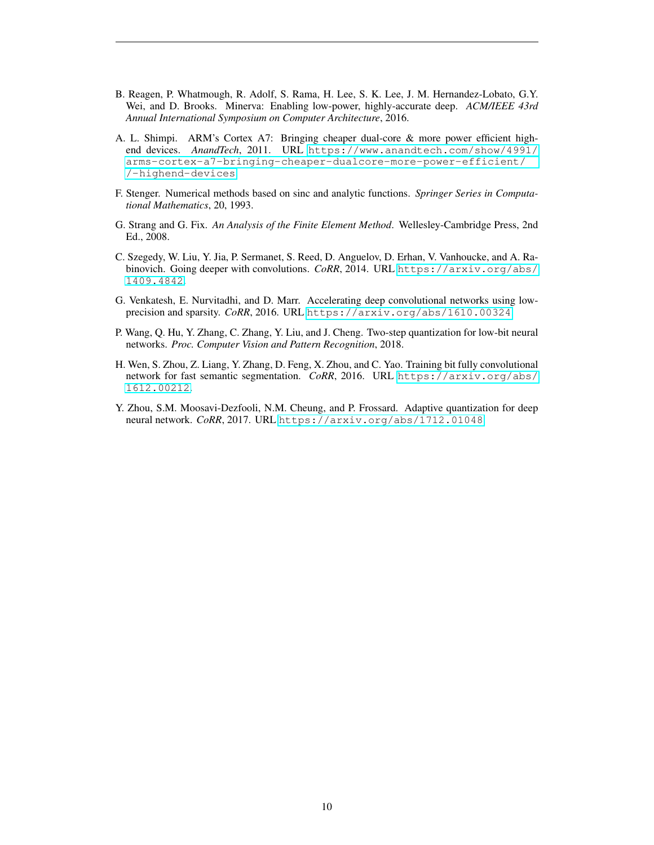- <span id="page-9-3"></span>B. Reagen, P. Whatmough, R. Adolf, S. Rama, H. Lee, S. K. Lee, J. M. Hernandez-Lobato, G.Y. Wei, and D. Brooks. Minerva: Enabling low-power, highly-accurate deep. *ACM/IEEE 43rd Annual International Symposium on Computer Architecture*, 2016.
- <span id="page-9-0"></span>A. L. Shimpi. ARM's Cortex A7: Bringing cheaper dual-core & more power efficient highend devices. *AnandTech*, 2011. URL [https://www.anandtech.com/show/4991/](https://www.anandtech.com/show/4991/arms-cortex-a7-bringing-cheaper-dualcore-more-power-efficient//-highend-devices) [arms-cortex-a7-bringing-cheaper-dualcore-more-power-efficient/](https://www.anandtech.com/show/4991/arms-cortex-a7-bringing-cheaper-dualcore-more-power-efficient//-highend-devices) [/-highend-devices](https://www.anandtech.com/show/4991/arms-cortex-a7-bringing-cheaper-dualcore-more-power-efficient//-highend-devices).
- <span id="page-9-6"></span>F. Stenger. Numerical methods based on sinc and analytic functions. *Springer Series in Computational Mathematics*, 20, 1993.
- <span id="page-9-7"></span>G. Strang and G. Fix. *An Analysis of the Finite Element Method*. Wellesley-Cambridge Press, 2nd Ed., 2008.
- <span id="page-9-8"></span>C. Szegedy, W. Liu, Y. Jia, P. Sermanet, S. Reed, D. Anguelov, D. Erhan, V. Vanhoucke, and A. Rabinovich. Going deeper with convolutions. *CoRR*, 2014. URL [https://arxiv.org/abs/](https://arxiv.org/abs/1409.4842) [1409.4842](https://arxiv.org/abs/1409.4842).
- <span id="page-9-2"></span>G. Venkatesh, E. Nurvitadhi, and D. Marr. Accelerating deep convolutional networks using lowprecision and sparsity. *CoRR*, 2016. URL <https://arxiv.org/abs/1610.00324>.
- <span id="page-9-4"></span>P. Wang, Q. Hu, Y. Zhang, C. Zhang, Y. Liu, and J. Cheng. Two-step quantization for low-bit neural networks. *Proc. Computer Vision and Pattern Recognition*, 2018.
- <span id="page-9-1"></span>H. Wen, S. Zhou, Z. Liang, Y. Zhang, D. Feng, X. Zhou, and C. Yao. Training bit fully convolutional network for fast semantic segmentation. *CoRR*, 2016. URL [https://arxiv.org/abs/](https://arxiv.org/abs/1612.00212) [1612.00212](https://arxiv.org/abs/1612.00212).
- <span id="page-9-5"></span>Y. Zhou, S.M. Moosavi-Dezfooli, N.M. Cheung, and P. Frossard. Adaptive quantization for deep neural network. *CoRR*, 2017. URL <https://arxiv.org/abs/1712.01048>.